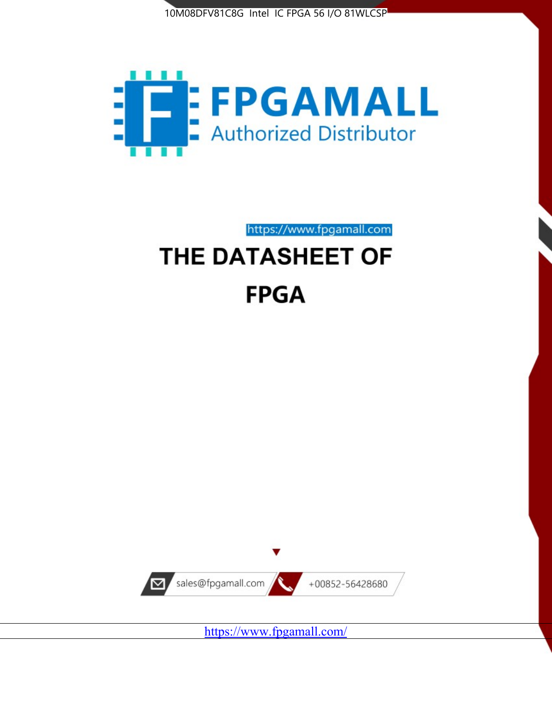



https://www.fpgamall.com THE DATASHEET OF

# **FPGA**



<https://www.fpgamall.com/>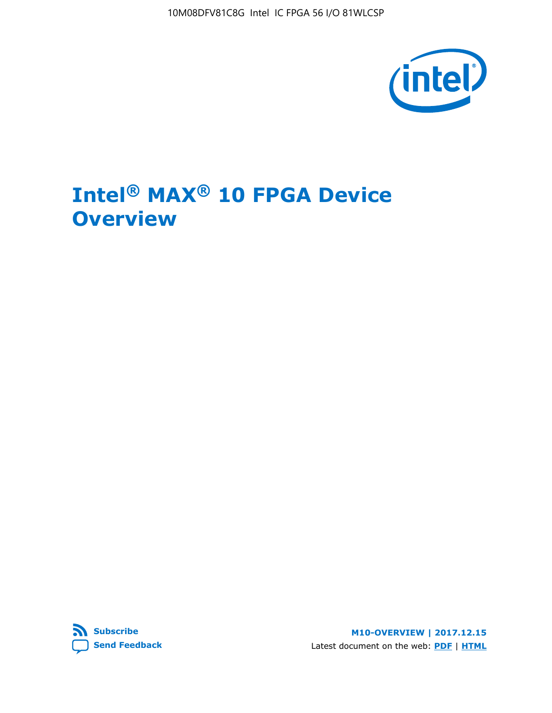10M08DFV81C8G Intel IC FPGA 56 I/O 81WLCSP



# **Intel® MAX® 10 FPGA Device Overview**



**M10-OVERVIEW | 2017.12.15** Latest document on the web: **[PDF](https://www.altera.com/en_US/pdfs/literature/hb/max-10/m10_overview.pdf)** | **[HTML](https://www.altera.com/documentation/myt1396938463674.html)**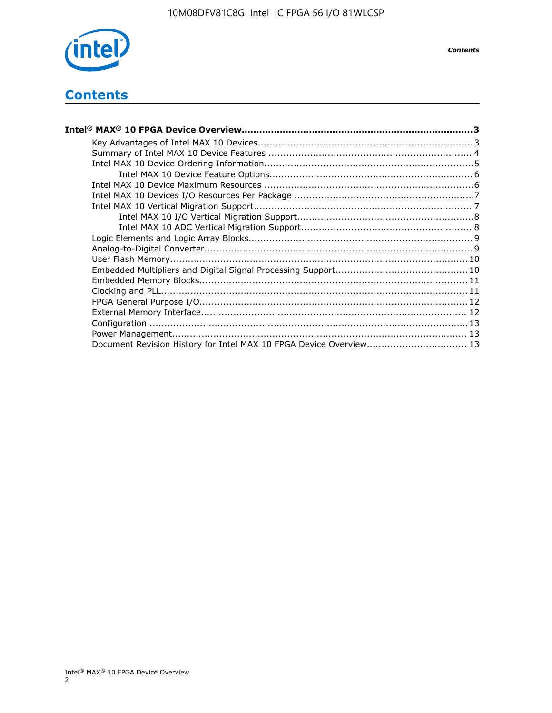

## **Contents**

| Intel® MAX® 10 FPGA Device Overview……………………………………………………………………………3  |  |
|--------------------------------------------------------------------|--|
|                                                                    |  |
|                                                                    |  |
|                                                                    |  |
|                                                                    |  |
|                                                                    |  |
|                                                                    |  |
|                                                                    |  |
|                                                                    |  |
|                                                                    |  |
|                                                                    |  |
|                                                                    |  |
|                                                                    |  |
|                                                                    |  |
|                                                                    |  |
|                                                                    |  |
|                                                                    |  |
|                                                                    |  |
|                                                                    |  |
|                                                                    |  |
| Document Revision History for Intel MAX 10 FPGA Device Overview 13 |  |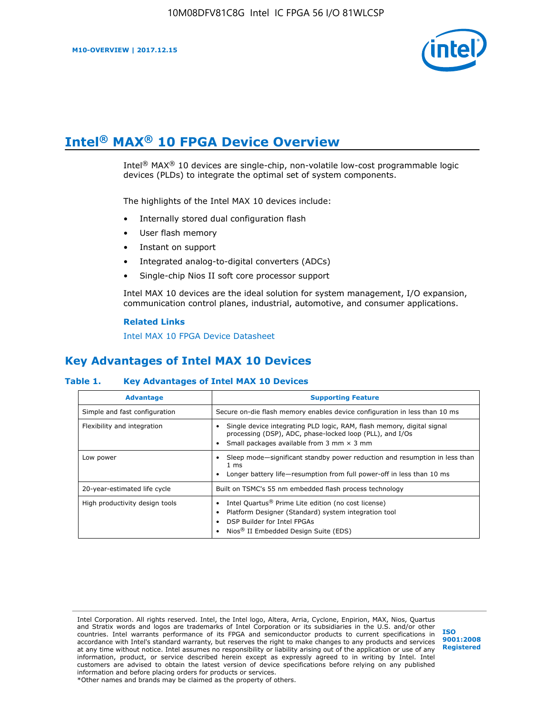

# **Intel® MAX® 10 FPGA Device Overview**

Intel® MAX® 10 devices are single-chip, non-volatile low-cost programmable logic devices (PLDs) to integrate the optimal set of system components.

The highlights of the Intel MAX 10 devices include:

- Internally stored dual configuration flash
- User flash memory
- Instant on support
- Integrated analog-to-digital converters (ADCs)
- Single-chip Nios II soft core processor support

Intel MAX 10 devices are the ideal solution for system management, I/O expansion, communication control planes, industrial, automotive, and consumer applications.

#### **Related Links**

[Intel MAX 10 FPGA Device Datasheet](https://www.altera.com/documentation/mcn1397700832153.html#mcn1397643748870)

## **Key Advantages of Intel MAX 10 Devices**

#### **Table 1. Key Advantages of Intel MAX 10 Devices**

| <b>Advantage</b>               | <b>Supporting Feature</b>                                                                                                                                                                                  |  |  |  |
|--------------------------------|------------------------------------------------------------------------------------------------------------------------------------------------------------------------------------------------------------|--|--|--|
| Simple and fast configuration  | Secure on-die flash memory enables device configuration in less than 10 ms                                                                                                                                 |  |  |  |
| Flexibility and integration    | Single device integrating PLD logic, RAM, flash memory, digital signal<br>processing (DSP), ADC, phase-locked loop (PLL), and I/Os<br>Small packages available from 3 mm $\times$ 3 mm                     |  |  |  |
| Low power                      | Sleep mode—significant standby power reduction and resumption in less than<br>$1 \text{ ms}$<br>Longer battery life—resumption from full power-off in less than 10 ms                                      |  |  |  |
| 20-year-estimated life cycle   | Built on TSMC's 55 nm embedded flash process technology                                                                                                                                                    |  |  |  |
| High productivity design tools | Intel Quartus <sup>®</sup> Prime Lite edition (no cost license)<br>Platform Designer (Standard) system integration tool<br>DSP Builder for Intel FPGAs<br>Nios <sup>®</sup> II Embedded Design Suite (EDS) |  |  |  |

Intel Corporation. All rights reserved. Intel, the Intel logo, Altera, Arria, Cyclone, Enpirion, MAX, Nios, Quartus and Stratix words and logos are trademarks of Intel Corporation or its subsidiaries in the U.S. and/or other countries. Intel warrants performance of its FPGA and semiconductor products to current specifications in accordance with Intel's standard warranty, but reserves the right to make changes to any products and services at any time without notice. Intel assumes no responsibility or liability arising out of the application or use of any information, product, or service described herein except as expressly agreed to in writing by Intel. Intel customers are advised to obtain the latest version of device specifications before relying on any published information and before placing orders for products or services. \*Other names and brands may be claimed as the property of others.

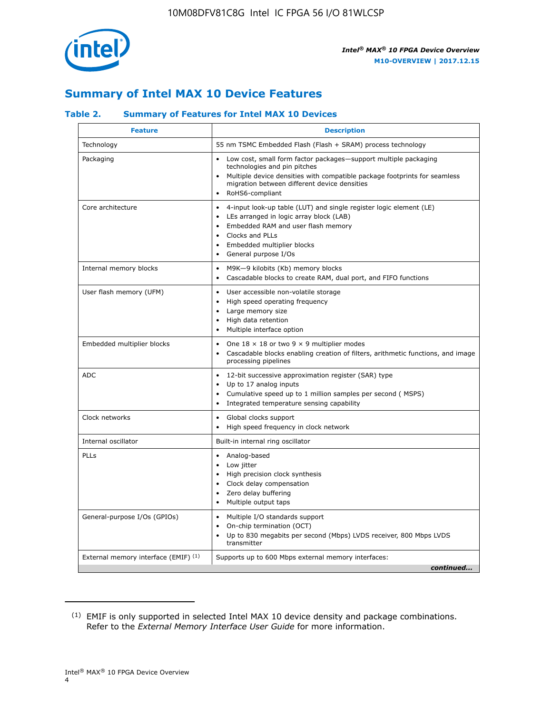

## **Summary of Intel MAX 10 Device Features**

#### **Table 2. Summary of Features for Intel MAX 10 Devices**

| <b>Feature</b>                       | <b>Description</b>                                                                                                                                                                                                                                                                            |
|--------------------------------------|-----------------------------------------------------------------------------------------------------------------------------------------------------------------------------------------------------------------------------------------------------------------------------------------------|
| Technology                           | 55 nm TSMC Embedded Flash (Flash + SRAM) process technology                                                                                                                                                                                                                                   |
| Packaging                            | Low cost, small form factor packages-support multiple packaging<br>technologies and pin pitches<br>Multiple device densities with compatible package footprints for seamless<br>migration between different device densities<br>RoHS6-compliant                                               |
| Core architecture                    | 4-input look-up table (LUT) and single register logic element (LE)<br>$\bullet$<br>LEs arranged in logic array block (LAB)<br>$\bullet$<br>Embedded RAM and user flash memory<br>$\bullet$<br>Clocks and PLLs<br>$\bullet$<br>Embedded multiplier blocks<br>General purpose I/Os<br>$\bullet$ |
| Internal memory blocks               | M9K-9 kilobits (Kb) memory blocks<br>$\bullet$<br>Cascadable blocks to create RAM, dual port, and FIFO functions<br>$\bullet$                                                                                                                                                                 |
| User flash memory (UFM)              | User accessible non-volatile storage<br>$\bullet$<br>High speed operating frequency<br>$\bullet$<br>Large memory size<br>High data retention<br>$\bullet$<br>Multiple interface option                                                                                                        |
| Embedded multiplier blocks           | One $18 \times 18$ or two 9 $\times$ 9 multiplier modes<br>$\bullet$<br>Cascadable blocks enabling creation of filters, arithmetic functions, and image<br>processing pipelines                                                                                                               |
| <b>ADC</b>                           | 12-bit successive approximation register (SAR) type<br>$\bullet$<br>Up to 17 analog inputs<br>$\bullet$<br>Cumulative speed up to 1 million samples per second (MSPS)<br>Integrated temperature sensing capability<br>$\bullet$                                                               |
| Clock networks                       | Global clocks support<br>$\bullet$<br>High speed frequency in clock network                                                                                                                                                                                                                   |
| Internal oscillator                  | Built-in internal ring oscillator                                                                                                                                                                                                                                                             |
| PLLs                                 | Analog-based<br>$\bullet$<br>Low jitter<br>High precision clock synthesis<br>$\bullet$<br>Clock delay compensation<br>$\bullet$<br>Zero delay buffering<br>٠<br>Multiple output taps<br>$\bullet$                                                                                             |
| General-purpose I/Os (GPIOs)         | Multiple I/O standards support<br>$\bullet$<br>On-chip termination (OCT)<br>٠<br>Up to 830 megabits per second (Mbps) LVDS receiver, 800 Mbps LVDS<br>transmitter                                                                                                                             |
| External memory interface (EMIF) (1) | Supports up to 600 Mbps external memory interfaces:<br>continued                                                                                                                                                                                                                              |
|                                      |                                                                                                                                                                                                                                                                                               |

<sup>(1)</sup> EMIF is only supported in selected Intel MAX 10 device density and package combinations. Refer to the *External Memory Interface User Guide* for more information.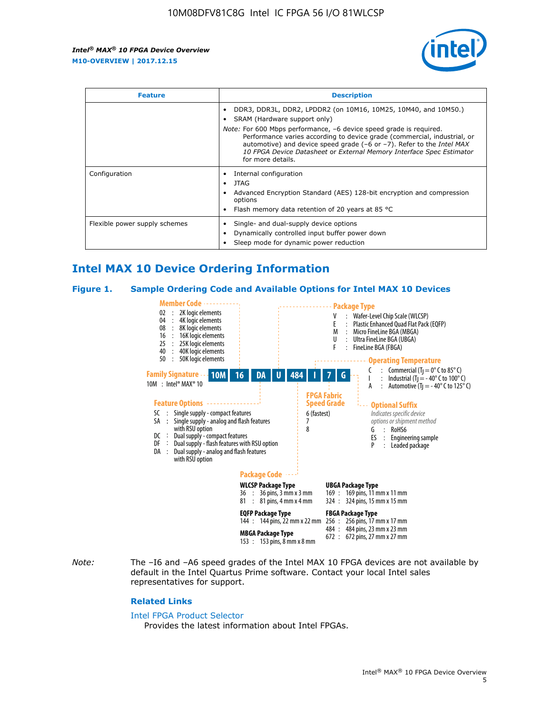

| <b>Feature</b>                | <b>Description</b>                                                                                                                                                                                                                                                                                                                             |  |  |  |
|-------------------------------|------------------------------------------------------------------------------------------------------------------------------------------------------------------------------------------------------------------------------------------------------------------------------------------------------------------------------------------------|--|--|--|
|                               | DDR3, DDR3L, DDR2, LPDDR2 (on 10M16, 10M25, 10M40, and 10M50.)<br>SRAM (Hardware support only)                                                                                                                                                                                                                                                 |  |  |  |
|                               | <i>Note:</i> For 600 Mbps performance, -6 device speed grade is required.<br>Performance varies according to device grade (commercial, industrial, or<br>automotive) and device speed grade $(-6 \text{ or } -7)$ . Refer to the <i>Intel MAX</i><br>10 FPGA Device Datasheet or External Memory Interface Spec Estimator<br>for more details. |  |  |  |
| Configuration                 | Internal configuration                                                                                                                                                                                                                                                                                                                         |  |  |  |
|                               | JTAG<br>٠                                                                                                                                                                                                                                                                                                                                      |  |  |  |
|                               | Advanced Encryption Standard (AES) 128-bit encryption and compression<br>options                                                                                                                                                                                                                                                               |  |  |  |
|                               | Flash memory data retention of 20 years at 85 $^{\circ}$ C                                                                                                                                                                                                                                                                                     |  |  |  |
| Flexible power supply schemes | Single- and dual-supply device options                                                                                                                                                                                                                                                                                                         |  |  |  |
|                               | Dynamically controlled input buffer power down                                                                                                                                                                                                                                                                                                 |  |  |  |
|                               | Sleep mode for dynamic power reduction                                                                                                                                                                                                                                                                                                         |  |  |  |

## **Intel MAX 10 Device Ordering Information**

#### **Figure 1. Sample Ordering Code and Available Options for Intel MAX 10 Devices**



*Note:* The –I6 and –A6 speed grades of the Intel MAX 10 FPGA devices are not available by default in the Intel Quartus Prime software. Contact your local Intel sales representatives for support.

#### **Related Links**

#### [Intel FPGA Product Selector](http://www.altera.com/products/selector/psg-selector.html)

Provides the latest information about Intel FPGAs.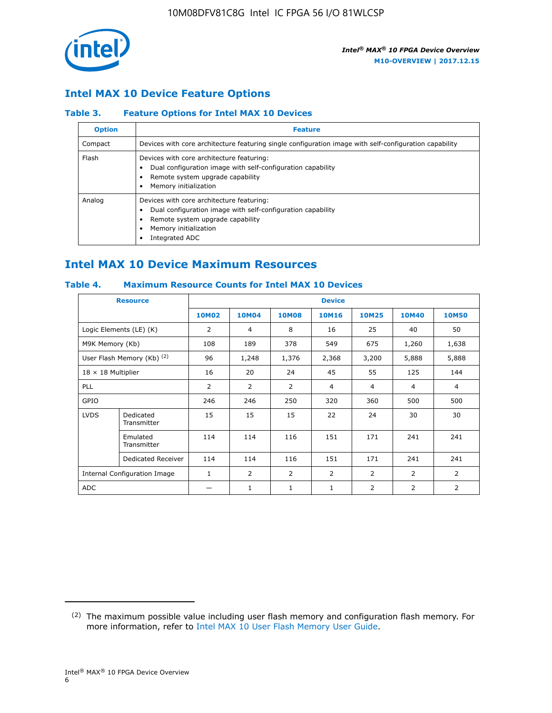

## **Intel MAX 10 Device Feature Options**

#### **Table 3. Feature Options for Intel MAX 10 Devices**

| <b>Option</b> | <b>Feature</b>                                                                                                                                                                          |
|---------------|-----------------------------------------------------------------------------------------------------------------------------------------------------------------------------------------|
| Compact       | Devices with core architecture featuring single configuration image with self-configuration capability                                                                                  |
| Flash         | Devices with core architecture featuring:<br>Dual configuration image with self-configuration capability<br>Remote system upgrade capability<br>Memory initialization                   |
| Analog        | Devices with core architecture featuring:<br>Dual configuration image with self-configuration capability<br>Remote system upgrade capability<br>Memory initialization<br>Integrated ADC |

## **Intel MAX 10 Device Maximum Resources**

#### **Table 4. Maximum Resource Counts for Intel MAX 10 Devices**

| <b>Resource</b>              |                            | <b>Device</b> |                |                |                |                |                |                |
|------------------------------|----------------------------|---------------|----------------|----------------|----------------|----------------|----------------|----------------|
|                              |                            | <b>10M02</b>  | 10M04          | <b>10M08</b>   | <b>10M16</b>   | <b>10M25</b>   | <b>10M40</b>   | <b>10M50</b>   |
|                              | Logic Elements (LE) (K)    | 2             | 4              | 8              | 16             | 25             | 40             | 50             |
| M9K Memory (Kb)              |                            | 108           | 189            | 378            | 549            | 675            | 1,260          | 1,638          |
|                              | User Flash Memory (Kb) (2) | 96            | 1,248          | 1,376          | 2,368          | 3,200          | 5,888          | 5,888          |
| $18 \times 18$ Multiplier    |                            | 16            | 20             | 24             | 45             | 55             | 125            | 144            |
| <b>PLL</b>                   |                            | 2             | $\overline{2}$ | $\overline{2}$ | 4              | $\overline{4}$ | 4              | $\overline{4}$ |
| GPIO                         |                            | 246           | 246            | 250            | 320            | 360            | 500            | 500            |
| <b>LVDS</b>                  | Dedicated<br>Transmitter   | 15            | 15             | 15             | 22             | 24             | 30             | 30             |
|                              | Emulated<br>Transmitter    | 114           | 114            | 116            | 151            | 171            | 241            | 241            |
|                              | Dedicated Receiver         | 114           | 114            | 116            | 151            | 171            | 241            | 241            |
| Internal Configuration Image |                            | $\mathbf{1}$  | $\overline{2}$ | $\overline{2}$ | $\overline{2}$ | 2              | $\overline{2}$ | $\overline{2}$ |
| <b>ADC</b>                   |                            |               | 1              | $\mathbf{1}$   | $\mathbf{1}$   | 2              | 2              | 2              |

<sup>(2)</sup> The maximum possible value including user flash memory and configuration flash memory. For more information, refer to [Intel MAX 10 User Flash Memory User Guide](https://www.altera.com/documentation/vgo1395753117436.html#vgo1395811844282).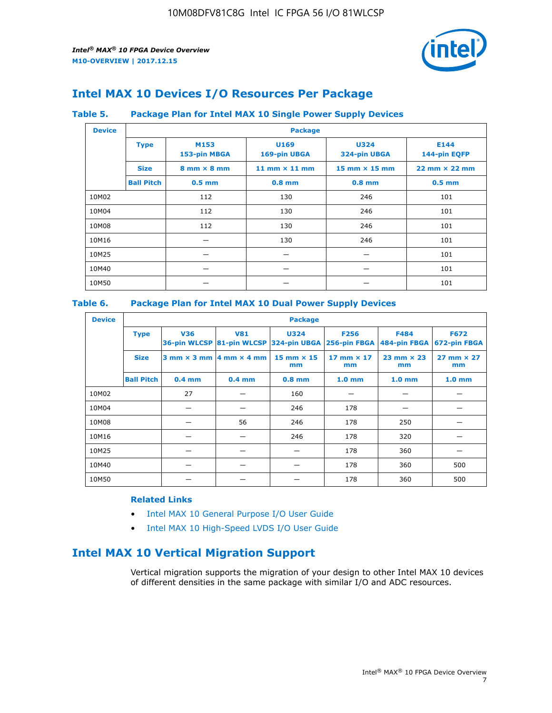

## **Intel MAX 10 Devices I/O Resources Per Package**

#### **Table 5. Package Plan for Intel MAX 10 Single Power Supply Devices**

| <b>Device</b> |                   | <b>Package</b>                     |                      |                             |                                      |  |  |  |  |
|---------------|-------------------|------------------------------------|----------------------|-----------------------------|--------------------------------------|--|--|--|--|
|               | <b>Type</b>       | M153<br>153-pin MBGA               | U169<br>169-pin UBGA | <b>U324</b><br>324-pin UBGA | E144<br>144-pin EQFP                 |  |  |  |  |
|               | <b>Size</b>       | $8 \text{ mm} \times 8 \text{ mm}$ | 11 mm $\times$ 11 mm | $15$ mm $\times$ 15 mm      | $22 \text{ mm} \times 22 \text{ mm}$ |  |  |  |  |
|               | <b>Ball Pitch</b> | $0.5$ mm                           | $0.8$ mm             | $0.8$ mm                    | $0.5$ mm                             |  |  |  |  |
| 10M02         |                   | 112                                | 130                  | 246                         | 101                                  |  |  |  |  |
| 10M04         |                   | 112                                | 130                  | 246                         | 101                                  |  |  |  |  |
| 10M08         |                   | 112                                | 130                  | 246                         | 101                                  |  |  |  |  |
| 10M16         |                   |                                    | 130                  | 246                         | 101                                  |  |  |  |  |
| 10M25         |                   |                                    |                      |                             | 101                                  |  |  |  |  |
| 10M40         |                   |                                    |                      |                             | 101                                  |  |  |  |  |
| 10M50         |                   |                                    |                      |                             | 101                                  |  |  |  |  |

#### **Table 6. Package Plan for Intel MAX 10 Dual Power Supply Devices**

| <b>Device</b> |                   | <b>Package</b> |                                                 |                                                                    |                         |                             |                             |  |  |
|---------------|-------------------|----------------|-------------------------------------------------|--------------------------------------------------------------------|-------------------------|-----------------------------|-----------------------------|--|--|
|               | <b>Type</b>       | <b>V36</b>     | <b>V81</b>                                      | <b>U324</b><br>36-pin WLCSP 81-pin WLCSP 324-pin UBGA 256-pin FBGA | <b>F256</b>             | <b>F484</b><br>484-pin FBGA | <b>F672</b><br>672-pin FBGA |  |  |
|               | <b>Size</b>       |                | $3$ mm $\times$ 3 mm $\vert$ 4 mm $\times$ 4 mm | $15$ mm $\times$ 15<br>mm                                          | 17 mm $\times$ 17<br>mm | $23$ mm $\times$ 23<br>mm   | $27$ mm $\times$ 27<br>mm   |  |  |
|               | <b>Ball Pitch</b> | $0.4$ mm       | $0.4$ mm                                        | $0.8$ mm                                                           | 1.0 <sub>mm</sub>       | 1.0 <sub>mm</sub>           | 1.0 <sub>mm</sub>           |  |  |
| 10M02         |                   | 27             |                                                 | 160                                                                |                         |                             |                             |  |  |
| 10M04         |                   |                |                                                 | 246                                                                | 178                     |                             |                             |  |  |
| 10M08         |                   |                | 56                                              | 246                                                                | 178                     | 250                         |                             |  |  |
| 10M16         |                   |                |                                                 | 246                                                                | 178                     | 320                         |                             |  |  |
| 10M25         |                   |                |                                                 |                                                                    | 178                     | 360                         |                             |  |  |
| 10M40         |                   |                |                                                 |                                                                    | 178                     | 360                         | 500                         |  |  |
| 10M50         |                   |                |                                                 |                                                                    | 178                     | 360                         | 500                         |  |  |

#### **Related Links**

- [Intel MAX 10 General Purpose I/O User Guide](https://www.altera.com/documentation/sam1393999966669.html#sam1394000084476)
- [Intel MAX 10 High-Speed LVDS I/O User Guide](https://www.altera.com/documentation/sam1394433606063.html#sam1394433911642)

## **Intel MAX 10 Vertical Migration Support**

Vertical migration supports the migration of your design to other Intel MAX 10 devices of different densities in the same package with similar I/O and ADC resources.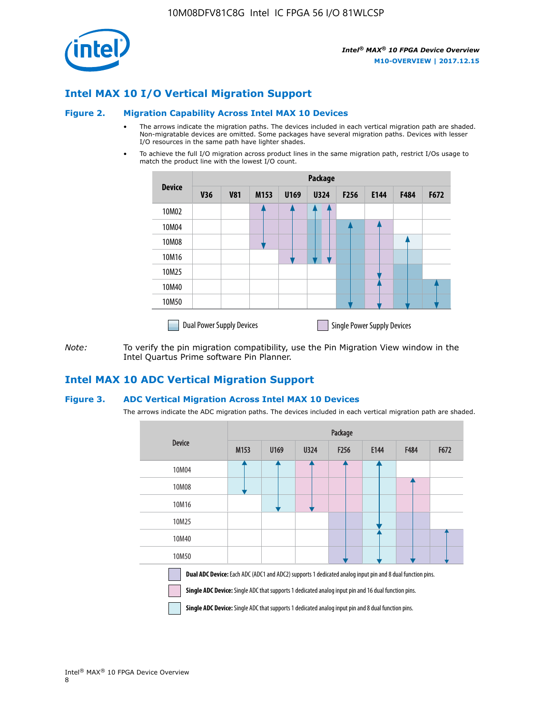

## **Intel MAX 10 I/O Vertical Migration Support**

#### **Figure 2. Migration Capability Across Intel MAX 10 Devices**

- The arrows indicate the migration paths. The devices included in each vertical migration path are shaded. Non-migratable devices are omitted. Some packages have several migration paths. Devices with lesser I/O resources in the same path have lighter shades.
- To achieve the full I/O migration across product lines in the same migration path, restrict I/Os usage to match the product line with the lowest I/O count.

|               | <b>Package</b>                   |            |      |      |             |                  |                                    |      |      |  |
|---------------|----------------------------------|------------|------|------|-------------|------------------|------------------------------------|------|------|--|
| <b>Device</b> | <b>V36</b>                       | <b>V81</b> | M153 | U169 | <b>U324</b> | F <sub>256</sub> | E144                               | F484 | F672 |  |
| 10M02         |                                  |            |      |      | 7           |                  |                                    |      |      |  |
| 10M04         |                                  |            |      |      |             |                  |                                    |      |      |  |
| 10M08         |                                  |            |      |      |             |                  |                                    |      |      |  |
| 10M16         |                                  |            |      |      |             |                  |                                    |      |      |  |
| 10M25         |                                  |            |      |      |             |                  |                                    |      |      |  |
| 10M40         |                                  |            |      |      |             |                  |                                    |      |      |  |
| 10M50         |                                  |            |      |      |             |                  |                                    |      |      |  |
|               | <b>Dual Power Supply Devices</b> |            |      |      |             |                  | <b>Single Power Supply Devices</b> |      |      |  |

*Note:* To verify the pin migration compatibility, use the Pin Migration View window in the Intel Quartus Prime software Pin Planner.

#### **Intel MAX 10 ADC Vertical Migration Support**

#### **Figure 3. ADC Vertical Migration Across Intel MAX 10 Devices**

The arrows indicate the ADC migration paths. The devices included in each vertical migration path are shaded.

|                                                                                                                                                                                                                         | Package |      |      |                  |      |      |      |  |  |
|-------------------------------------------------------------------------------------------------------------------------------------------------------------------------------------------------------------------------|---------|------|------|------------------|------|------|------|--|--|
| <b>Device</b>                                                                                                                                                                                                           | M153    | U169 | U324 | F <sub>256</sub> | E144 | F484 | F672 |  |  |
| 10M04                                                                                                                                                                                                                   |         |      |      |                  |      |      |      |  |  |
| 10M08                                                                                                                                                                                                                   |         |      |      |                  |      |      |      |  |  |
| 10M16                                                                                                                                                                                                                   |         |      |      |                  |      |      |      |  |  |
| 10M25                                                                                                                                                                                                                   |         |      |      |                  |      |      |      |  |  |
| 10M40                                                                                                                                                                                                                   |         |      |      |                  |      |      |      |  |  |
| 10M50                                                                                                                                                                                                                   |         |      |      |                  |      |      |      |  |  |
| Dual ADC Device: Each ADC (ADC1 and ADC2) supports 1 dedicated analog input pin and 8 dual function pins.<br><b>Single ADC Device:</b> Single ADC that supports 1 dedicated analog input pin and 16 dual function pins. |         |      |      |                  |      |      |      |  |  |

**Single ADC Device:** Single ADC that supports 1 dedicated analog input pin and 8 dual function pins.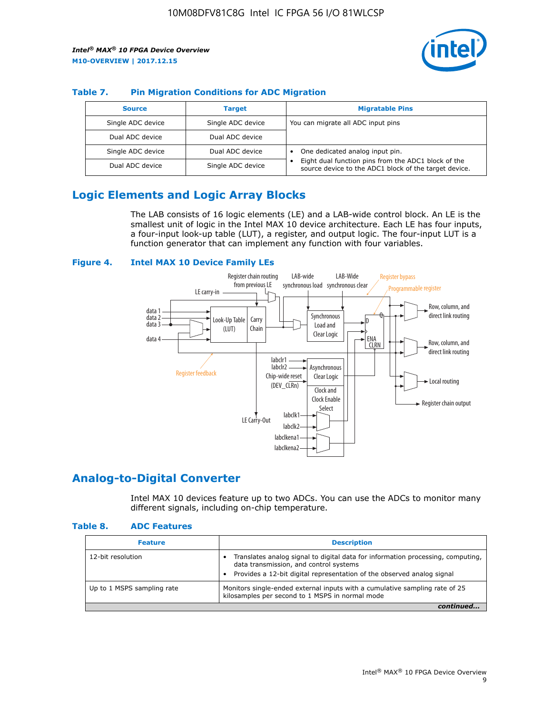

#### **Table 7. Pin Migration Conditions for ADC Migration**

| <b>Source</b>     | <b>Target</b>     | <b>Migratable Pins</b>                                                                                            |
|-------------------|-------------------|-------------------------------------------------------------------------------------------------------------------|
| Single ADC device | Single ADC device | You can migrate all ADC input pins                                                                                |
| Dual ADC device   | Dual ADC device   |                                                                                                                   |
| Single ADC device | Dual ADC device   | One dedicated analog input pin.                                                                                   |
| Dual ADC device   | Single ADC device | Eight dual function pins from the ADC1 block of the<br>٠<br>source device to the ADC1 block of the target device. |

## **Logic Elements and Logic Array Blocks**

The LAB consists of 16 logic elements (LE) and a LAB-wide control block. An LE is the smallest unit of logic in the Intel MAX 10 device architecture. Each LE has four inputs, a four-input look-up table (LUT), a register, and output logic. The four-input LUT is a function generator that can implement any function with four variables.

#### **Figure 4. Intel MAX 10 Device Family LEs**



## **Analog-to-Digital Converter**

Intel MAX 10 devices feature up to two ADCs. You can use the ADCs to monitor many different signals, including on-chip temperature.

#### **Table 8. ADC Features**

| <b>Feature</b>             | <b>Description</b>                                                                                                                                                                                  |
|----------------------------|-----------------------------------------------------------------------------------------------------------------------------------------------------------------------------------------------------|
| 12-bit resolution          | Translates analog signal to digital data for information processing, computing,<br>data transmission, and control systems<br>Provides a 12-bit digital representation of the observed analog signal |
| Up to 1 MSPS sampling rate | Monitors single-ended external inputs with a cumulative sampling rate of 25<br>kilosamples per second to 1 MSPS in normal mode                                                                      |
|                            |                                                                                                                                                                                                     |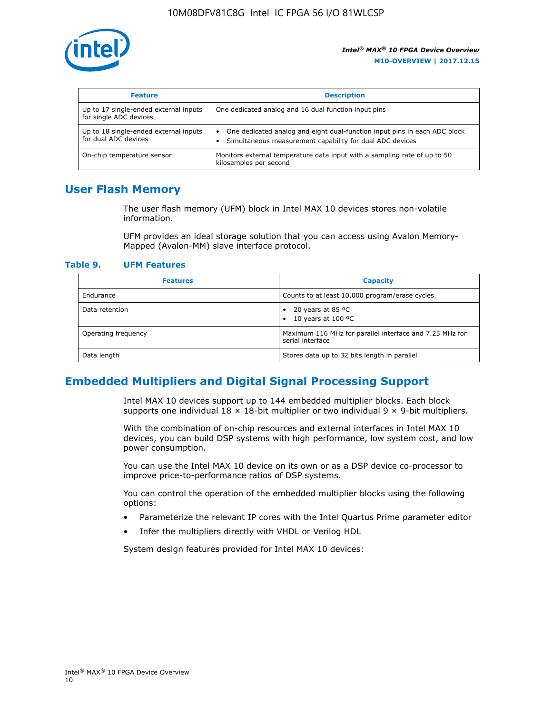

| <b>Feature</b>                                                  | <b>Description</b>                                                                                                                                 |
|-----------------------------------------------------------------|----------------------------------------------------------------------------------------------------------------------------------------------------|
| Up to 17 single-ended external inputs<br>for single ADC devices | One dedicated analog and 16 dual function input pins                                                                                               |
| Up to 18 single-ended external inputs<br>for dual ADC devices   | One dedicated analog and eight dual-function input pins in each ADC block<br>$\bullet$<br>Simultaneous measurement capability for dual ADC devices |
| On-chip temperature sensor                                      | Monitors external temperature data input with a sampling rate of up to 50<br>kilosamples per second                                                |

## **User Flash Memory**

The user flash memory (UFM) block in Intel MAX 10 devices stores non-volatile information.

UFM provides an ideal storage solution that you can access using Avalon Memory-Mapped (Avalon-MM) slave interface protocol.

#### **Table 9. UFM Features**

| <b>Features</b>     | <b>Capacity</b>                                                             |
|---------------------|-----------------------------------------------------------------------------|
| Endurance           | Counts to at least 10,000 program/erase cycles                              |
| Data retention      | 20 years at 85 $^{\circ}$ C<br>٠<br>10 years at 100 °C<br>$\bullet$         |
| Operating frequency | Maximum 116 MHz for parallel interface and 7.25 MHz for<br>serial interface |
| Data length         | Stores data up to 32 bits length in parallel                                |

## **Embedded Multipliers and Digital Signal Processing Support**

Intel MAX 10 devices support up to 144 embedded multiplier blocks. Each block supports one individual  $18 \times 18$ -bit multiplier or two individual  $9 \times 9$ -bit multipliers.

With the combination of on-chip resources and external interfaces in Intel MAX 10 devices, you can build DSP systems with high performance, low system cost, and low power consumption.

You can use the Intel MAX 10 device on its own or as a DSP device co-processor to improve price-to-performance ratios of DSP systems.

You can control the operation of the embedded multiplier blocks using the following options:

- Parameterize the relevant IP cores with the Intel Quartus Prime parameter editor
- Infer the multipliers directly with VHDL or Verilog HDL

System design features provided for Intel MAX 10 devices: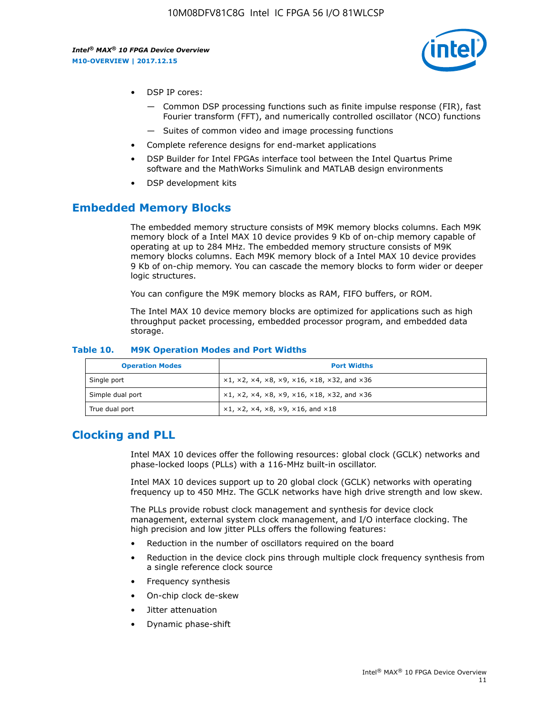

- DSP IP cores:
	- Common DSP processing functions such as finite impulse response (FIR), fast Fourier transform (FFT), and numerically controlled oscillator (NCO) functions
	- Suites of common video and image processing functions
- Complete reference designs for end-market applications
- DSP Builder for Intel FPGAs interface tool between the Intel Quartus Prime software and the MathWorks Simulink and MATLAB design environments
- DSP development kits

#### **Embedded Memory Blocks**

The embedded memory structure consists of M9K memory blocks columns. Each M9K memory block of a Intel MAX 10 device provides 9 Kb of on-chip memory capable of operating at up to 284 MHz. The embedded memory structure consists of M9K memory blocks columns. Each M9K memory block of a Intel MAX 10 device provides 9 Kb of on-chip memory. You can cascade the memory blocks to form wider or deeper logic structures.

You can configure the M9K memory blocks as RAM, FIFO buffers, or ROM.

The Intel MAX 10 device memory blocks are optimized for applications such as high throughput packet processing, embedded processor program, and embedded data storage.

| <b>Operation Modes</b> | <b>Port Widths</b>                                                            |
|------------------------|-------------------------------------------------------------------------------|
| Single port            | $x1, x2, x4, x8, x9, x16, x18, x32, and x36$                                  |
| Simple dual port       | $x1, x2, x4, x8, x9, x16, x18, x32, and x36$                                  |
| True dual port         | $\times1, \times2, \times4, \times8, \times9, \times16, \text{and } \times18$ |

#### **Table 10. M9K Operation Modes and Port Widths**

## **Clocking and PLL**

Intel MAX 10 devices offer the following resources: global clock (GCLK) networks and phase-locked loops (PLLs) with a 116-MHz built-in oscillator.

Intel MAX 10 devices support up to 20 global clock (GCLK) networks with operating frequency up to 450 MHz. The GCLK networks have high drive strength and low skew.

The PLLs provide robust clock management and synthesis for device clock management, external system clock management, and I/O interface clocking. The high precision and low jitter PLLs offers the following features:

- Reduction in the number of oscillators required on the board
- Reduction in the device clock pins through multiple clock frequency synthesis from a single reference clock source
- Frequency synthesis
- On-chip clock de-skew
- Jitter attenuation
- Dynamic phase-shift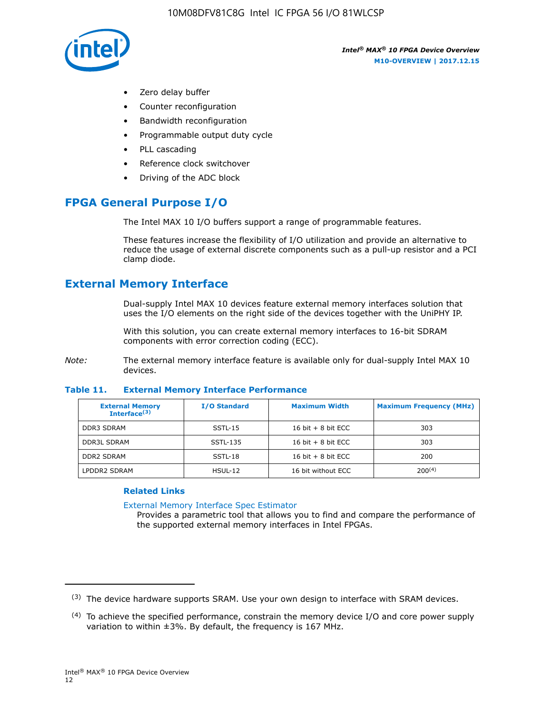

- Zero delay buffer
- Counter reconfiguration
- Bandwidth reconfiguration
- Programmable output duty cycle
- PLL cascading
- Reference clock switchover
- Driving of the ADC block

## **FPGA General Purpose I/O**

The Intel MAX 10 I/O buffers support a range of programmable features.

These features increase the flexibility of I/O utilization and provide an alternative to reduce the usage of external discrete components such as a pull-up resistor and a PCI clamp diode.

## **External Memory Interface**

Dual-supply Intel MAX 10 devices feature external memory interfaces solution that uses the I/O elements on the right side of the devices together with the UniPHY IP.

With this solution, you can create external memory interfaces to 16-bit SDRAM components with error correction coding (ECC).

*Note:* The external memory interface feature is available only for dual-supply Intel MAX 10 devices.

#### **Table 11. External Memory Interface Performance**

| <b>External Memory</b><br>Interface $(3)$ | <b>I/O Standard</b> | <b>Maximum Width</b> | <b>Maximum Frequency (MHz)</b> |
|-------------------------------------------|---------------------|----------------------|--------------------------------|
| <b>DDR3 SDRAM</b>                         | SSTL-15             | 16 bit $+8$ bit ECC  | 303                            |
| <b>DDR3L SDRAM</b>                        | SSTL-135            | 16 bit $+8$ bit ECC  | 303                            |
| <b>DDR2 SDRAM</b>                         | SSTL-18             | 16 bit $+8$ bit ECC  | 200                            |
| LPDDR2 SDRAM                              | $HSUL-12$           | 16 bit without ECC   | 200(4)                         |

#### **Related Links**

[External Memory Interface Spec Estimator](http://www.altera.com/technology/memory/estimator/mem-emif-index.html)

Provides a parametric tool that allows you to find and compare the performance of the supported external memory interfaces in Intel FPGAs.

 $(3)$  The device hardware supports SRAM. Use your own design to interface with SRAM devices.

 $(4)$  To achieve the specified performance, constrain the memory device I/O and core power supply variation to within ±3%. By default, the frequency is 167 MHz.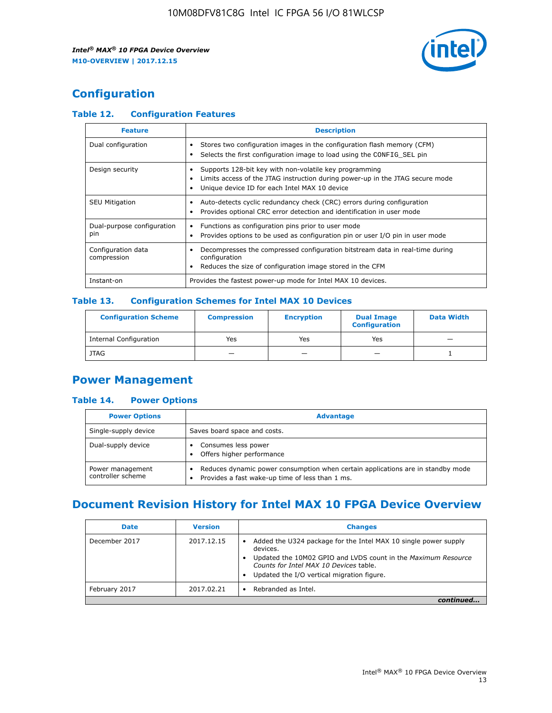

## **Configuration**

#### **Table 12. Configuration Features**

| <b>Feature</b>                    | <b>Description</b>                                                                                                                                                                       |
|-----------------------------------|------------------------------------------------------------------------------------------------------------------------------------------------------------------------------------------|
| Dual configuration                | Stores two configuration images in the configuration flash memory (CFM)<br>Selects the first configuration image to load using the CONFIG SEL pin                                        |
| Design security                   | Supports 128-bit key with non-volatile key programming<br>Limits access of the JTAG instruction during power-up in the JTAG secure mode<br>Unique device ID for each Intel MAX 10 device |
| <b>SEU Mitigation</b>             | Auto-detects cyclic redundancy check (CRC) errors during configuration<br>Provides optional CRC error detection and identification in user mode                                          |
| Dual-purpose configuration<br>pin | Functions as configuration pins prior to user mode<br>Provides options to be used as configuration pin or user I/O pin in user mode                                                      |
| Configuration data<br>compression | Decompresses the compressed configuration bitstream data in real-time during<br>configuration<br>Reduces the size of configuration image stored in the CFM                               |
| Instant-on                        | Provides the fastest power-up mode for Intel MAX 10 devices.                                                                                                                             |

#### **Table 13. Configuration Schemes for Intel MAX 10 Devices**

| <b>Configuration Scheme</b>   | <b>Compression</b>       | <b>Encryption</b> | <b>Dual Image</b><br><b>Configuration</b> | <b>Data Width</b> |
|-------------------------------|--------------------------|-------------------|-------------------------------------------|-------------------|
| <b>Internal Configuration</b> | Yes                      | Yes               | Yes                                       |                   |
| <b>JTAG</b>                   | $\overline{\phantom{a}}$ |                   | -                                         |                   |

## **Power Management**

#### **Table 14. Power Options**

| <b>Power Options</b>                  | <b>Advantage</b>                                                                                                                   |  |
|---------------------------------------|------------------------------------------------------------------------------------------------------------------------------------|--|
| Single-supply device                  | Saves board space and costs.                                                                                                       |  |
| Dual-supply device                    | Consumes less power<br>Offers higher performance                                                                                   |  |
| Power management<br>controller scheme | Reduces dynamic power consumption when certain applications are in standby mode<br>Provides a fast wake-up time of less than 1 ms. |  |

## **Document Revision History for Intel MAX 10 FPGA Device Overview**

| <b>Date</b>   | <b>Version</b> | <b>Changes</b>                                                                                                                                                                                                                       |
|---------------|----------------|--------------------------------------------------------------------------------------------------------------------------------------------------------------------------------------------------------------------------------------|
| December 2017 | 2017.12.15     | Added the U324 package for the Intel MAX 10 single power supply<br>devices.<br>Updated the 10M02 GPIO and LVDS count in the Maximum Resource<br>Counts for Intel MAX 10 Devices table.<br>Updated the I/O vertical migration figure. |
| February 2017 | 2017.02.21     | Rebranded as Intel.                                                                                                                                                                                                                  |
|               |                |                                                                                                                                                                                                                                      |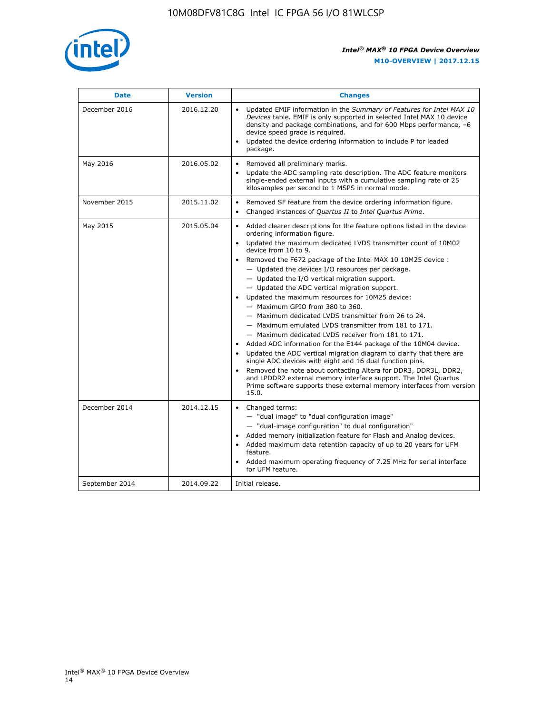

| <b>Date</b>    | <b>Version</b> | <b>Changes</b>                                                                                                                                                                                                                                                                                                                                                                                                                                                                                                                                                                                                                                                                                                                                                                                                                                                                                                                                                                                                                                                                                                                                                          |
|----------------|----------------|-------------------------------------------------------------------------------------------------------------------------------------------------------------------------------------------------------------------------------------------------------------------------------------------------------------------------------------------------------------------------------------------------------------------------------------------------------------------------------------------------------------------------------------------------------------------------------------------------------------------------------------------------------------------------------------------------------------------------------------------------------------------------------------------------------------------------------------------------------------------------------------------------------------------------------------------------------------------------------------------------------------------------------------------------------------------------------------------------------------------------------------------------------------------------|
| December 2016  | 2016.12.20     | • Updated EMIF information in the Summary of Features for Intel MAX 10<br>Devices table. EMIF is only supported in selected Intel MAX 10 device<br>density and package combinations, and for 600 Mbps performance, -6<br>device speed grade is required.<br>Updated the device ordering information to include P for leaded<br>$\bullet$<br>package.                                                                                                                                                                                                                                                                                                                                                                                                                                                                                                                                                                                                                                                                                                                                                                                                                    |
| May 2016       | 2016.05.02     | Removed all preliminary marks.<br>Update the ADC sampling rate description. The ADC feature monitors<br>$\bullet$<br>single-ended external inputs with a cumulative sampling rate of 25<br>kilosamples per second to 1 MSPS in normal mode.                                                                                                                                                                                                                                                                                                                                                                                                                                                                                                                                                                                                                                                                                                                                                                                                                                                                                                                             |
| November 2015  | 2015.11.02     | Removed SF feature from the device ordering information figure.<br>$\bullet$<br>Changed instances of Quartus II to Intel Quartus Prime.<br>$\bullet$                                                                                                                                                                                                                                                                                                                                                                                                                                                                                                                                                                                                                                                                                                                                                                                                                                                                                                                                                                                                                    |
| May 2015       | 2015.05.04     | Added clearer descriptions for the feature options listed in the device<br>$\bullet$<br>ordering information figure.<br>Updated the maximum dedicated LVDS transmitter count of 10M02<br>$\bullet$<br>device from 10 to 9.<br>. Removed the F672 package of the Intel MAX 10 10M25 device :<br>- Updated the devices I/O resources per package.<br>$-$ Updated the I/O vertical migration support.<br>- Updated the ADC vertical migration support.<br>Updated the maximum resources for 10M25 device:<br>$\bullet$<br>- Maximum GPIO from 380 to 360.<br>- Maximum dedicated LVDS transmitter from 26 to 24.<br>- Maximum emulated LVDS transmitter from 181 to 171.<br>- Maximum dedicated LVDS receiver from 181 to 171.<br>Added ADC information for the E144 package of the 10M04 device.<br>$\bullet$<br>Updated the ADC vertical migration diagram to clarify that there are<br>single ADC devices with eight and 16 dual function pins.<br>Removed the note about contacting Altera for DDR3, DDR3L, DDR2,<br>and LPDDR2 external memory interface support. The Intel Quartus<br>Prime software supports these external memory interfaces from version<br>15.0. |
| December 2014  | 2014.12.15     | $\bullet$<br>Changed terms:<br>- "dual image" to "dual configuration image"<br>- "dual-image configuration" to dual configuration"<br>Added memory initialization feature for Flash and Analog devices.<br>$\bullet$<br>Added maximum data retention capacity of up to 20 years for UFM<br>$\bullet$<br>feature.<br>Added maximum operating frequency of 7.25 MHz for serial interface<br>for UFM feature.                                                                                                                                                                                                                                                                                                                                                                                                                                                                                                                                                                                                                                                                                                                                                              |
| September 2014 | 2014.09.22     | Initial release.                                                                                                                                                                                                                                                                                                                                                                                                                                                                                                                                                                                                                                                                                                                                                                                                                                                                                                                                                                                                                                                                                                                                                        |